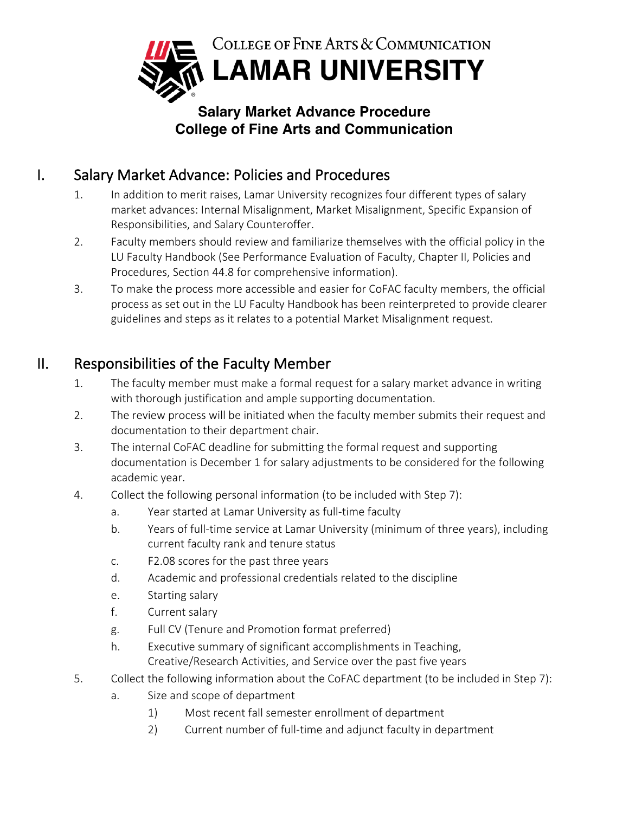

## **Salary Market Advance Procedure College of Fine Arts and Communication**

## I. Salary Market Advance: Policies and Procedures

- 1. In addition to merit raises, Lamar University recognizes four different types of salary market advances: Internal Misalignment, Market Misalignment, Specific Expansion of Responsibilities, and Salary Counteroffer.
- 2. Faculty members should review and familiarize themselves with the official policy in the LU Faculty Handbook (See Performance Evaluation of Faculty, Chapter II, Policies and Procedures, Section 44.8 for comprehensive information).
- 3. To make the process more accessible and easier for CoFAC faculty members, the official process as set out in the LU Faculty Handbook has been reinterpreted to provide clearer guidelines and steps as it relates to a potential Market Misalignment request.

## II. Responsibilities of the Faculty Member

- 1. The faculty member must make a formal request for a salary market advance in writing with thorough justification and ample supporting documentation.
- 2. The review process will be initiated when the faculty member submits their request and documentation to their department chair.
- 3. The internal CoFAC deadline for submitting the formal request and supporting documentation is December 1 for salary adjustments to be considered for the following academic year.
- 4. Collect the following personal information (to be included with Step 7):
	- a. Year started at Lamar University as full-time faculty
	- b. Years of full-time service at Lamar University (minimum of three years), including current faculty rank and tenure status
	- c. F2.08 scores for the past three years
	- d. Academic and professional credentials related to the discipline
	- e. Starting salary
	- f. Current salary
	- g. Full CV (Tenure and Promotion format preferred)
	- h. Executive summary of significant accomplishments in Teaching, Creative/Research Activities, and Service over the past five years
- 5. Collect the following information about the CoFAC department (to be included in Step 7):
	- a. Size and scope of department
		- 1) Most recent fall semester enrollment of department
		- 2) Current number of full-time and adjunct faculty in department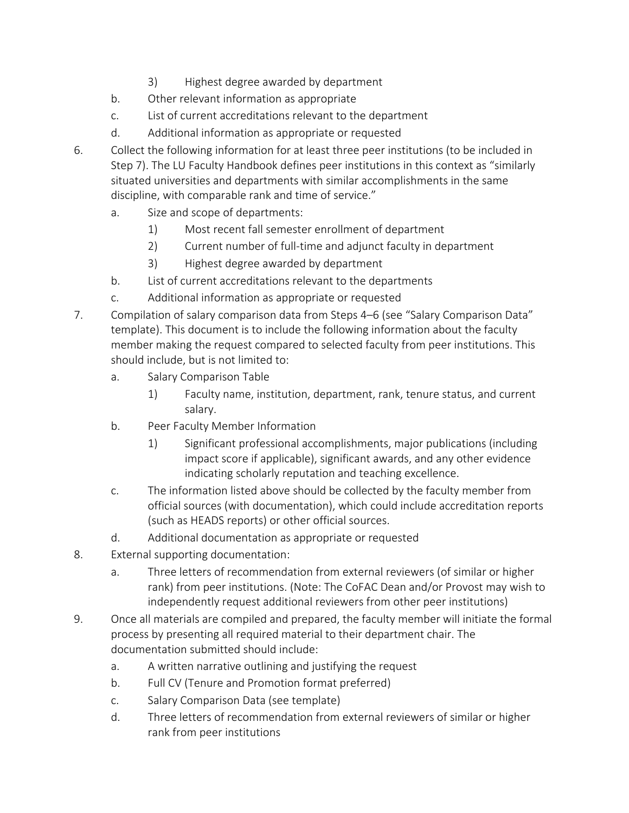- 3) Highest degree awarded by department
- b. Other relevant information as appropriate
- c. List of current accreditations relevant to the department
- d. Additional information as appropriate or requested
- 6. Collect the following information for at least three peer institutions (to be included in Step 7). The LU Faculty Handbook defines peer institutions in this context as "similarly situated universities and departments with similar accomplishments in the same discipline, with comparable rank and time of service."
	- a. Size and scope of departments:
		- 1) Most recent fall semester enrollment of department
		- 2) Current number of full-time and adjunct faculty in department
		- 3) Highest degree awarded by department
	- b. List of current accreditations relevant to the departments
	- c. Additional information as appropriate or requested
- 7. Compilation of salary comparison data from Steps 4–6 (see "Salary Comparison Data" template). This document is to include the following information about the faculty member making the request compared to selected faculty from peer institutions. This should include, but is not limited to:
	- a. Salary Comparison Table
		- 1) Faculty name, institution, department, rank, tenure status, and current salary.
	- b. Peer Faculty Member Information
		- 1) Significant professional accomplishments, major publications (including impact score if applicable), significant awards, and any other evidence indicating scholarly reputation and teaching excellence.
	- c. The information listed above should be collected by the faculty member from official sources (with documentation), which could include accreditation reports (such as HEADS reports) or other official sources.
	- d. Additional documentation as appropriate or requested
- 8. External supporting documentation:
	- a. Three letters of recommendation from external reviewers (of similar or higher rank) from peer institutions. (Note: The CoFAC Dean and/or Provost may wish to independently request additional reviewers from other peer institutions)
- 9. Once all materials are compiled and prepared, the faculty member will initiate the formal process by presenting all required material to their department chair. The documentation submitted should include:
	- a. A written narrative outlining and justifying the request
	- b. Full CV (Tenure and Promotion format preferred)
	- c. Salary Comparison Data (see template)
	- d. Three letters of recommendation from external reviewers of similar or higher rank from peer institutions